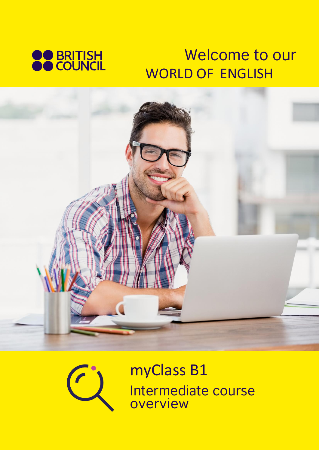

# Welcome to our WORLD OF ENGLISH





myClass B1 Intermediate course overview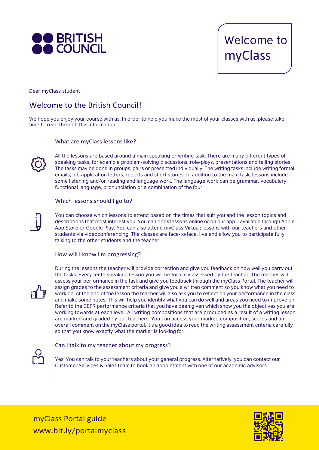

Welcome to myClass

Dear myClass student

#### Welcome to the British Council!

We hope you enjoy your course with us. In order to help you make the most of your classes with us, please take time to read through this information.

#### What are myClass lessons like?



All the lessons are based around a main speaking or writing task. There are many different types of speaking tasks, for example problem-solving discussions, role-plays, presentations and telling stories. The tasks may be done in groups, pairs or presented individually. The writing tasks include writing formal emails, job application letters, reports and short stories. In addition to the main task, lessons include some listening and/or reading and language work. The language work can be grammar, vocabulary, functional language, pronunciation or a combination of the four.

#### Which lessons should I go to?

You can choose which lessons to attend based on the times that suit you and the lesson topics and descriptions that most interest you. You can book lessons online or on our app – available through Apple App Store or Google Play. You can also attend myClass Virtual; lessons with our teachers and other students via videoconferencing. The classes are face-to-face, live and allow you to participate fully, talking to the other students and the teacher.

#### How will I know I'm progressing?



During the lessons the teacher will provide correction and give you feedback on how well you carry out the tasks. Every tenth speaking lesson you will be formally assessed by the teacher. The teacher will assess your performance in the task and give you feedback through the myClass Portal. The teacher will assign grades to the assessment criteria and give you a written comment so you know what you need to work on. At the end of the lesson the teacher will also ask you to reflect on your performance in the class and make some notes. This will help you identify what you can do well and areas you need to improve on. Refer to the CEFR performance criteria that you have been given which show you the objectives you are working towards at each level. All writing compositions that are produced as a result of a writing lesson are marked and graded by our teachers. You can access your marked composition, scores and an overall comment on the myClass portal. It's a good idea to read the writing assessment criteria carefully so that you know exactly what the marker is looking for.

#### Can I talk to my teacher about my progress?

Yes. You can talk to your teachers about your general progress. Alternatively, you can contact our Customer Services & Sales team to book an appointment with one of our academic advisors.

myClass Portal guide [www.bit.ly/portalmyclass](http://www.bit.ly/portalmyclass)

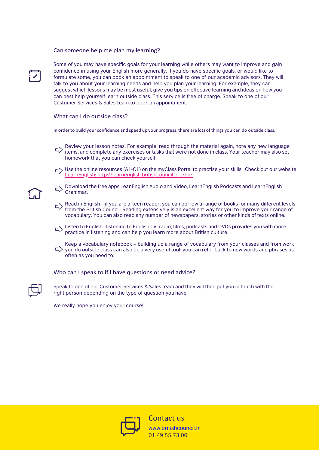#### Can someone help me plan my learning?

Some of you may have specific goals for your learning while others may want to improve and gain confidence in using your English more generally. If you do have specific goals, or would like to formulate some, you can book an appointment to speak to one of our academic advisors. They will talk to you about your learning needs and help you plan your learning. For example, they can suggest which lessons may be most useful, give you tips on effective learning and ideas on how you can best help yourself learn outside class. This service is free of charge. Speak to one of our Customer Services & Sales team to book an appointment.

#### What can I do outside class?

In order to build your confidence and speed up your progress, there are lots of things you can do outside class.

Review your lesson notes. For example, read through the material again, note any new language EUT THEM SOUT ISSUE IT IS AN INTERNATION CONTROLL TO THEM SAIDS OF THEMS, and complete any exercises or tasks that were not done in class. Your teacher may also set homework that you can check yourself.

- $\uparrow$  Use the online resources (A1-C1) on the myClass Portal to practise your skills. Check out our website LearnEnglish: <http://learnenglish.britishcouncil.org/en/>
- 

Download the free apps LeanEnglish Audio and Video, LearnEnglish Podcasts and LearnEnglish Grammar.

Read in English – if you are a keen reader, you can borrow a range of books for many different levels ビン from the British Council. Reading extensively is an excellent way for you to improve your range of vocabulary. You can also read any number of newspapers, stories or other kinds of texts online.

Listen to English– listening to English TV, radio, films, podcasts and DVDs provides you with more practice in listening and can help you learn more about British culture.

Keep a vocabulary notebook – building up a range of vocabulary from your classes and from work  $\Rightarrow$  you do outside class can also be a very useful tool: you can refer back to new words and phrases as often as you need to.

#### Who can I speak to if I have questions or need advice?



Speak to one of our Customer Services & Sales team and they will then put you in touch with the right person depending on the type of question you have.

We really hope you enjoy your course!



Contact us [www.britishcouncil.fr](http://www.britishcouncil.fr/) 01 49 55 73 00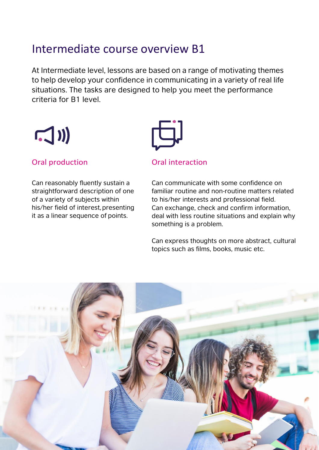# Intermediate course overview B1

At Intermediate level, lessons are based on a range of motivating themes to help develop your confidence in communicating in a variety of real life situations. The tasks are designed to help you meet the performance criteria for B1 level.

# $\sqrt{2}$

#### Oral production

Can reasonably fluently sustain a straightforward description of one of a variety of subjects within his/her field of interest, presenting it as a linear sequence of points.

#### Oral interaction

Can communicate with some confidence on familiar routine and non-routine matters related to his/her interests and professional field. Can exchange, check and confirm information, deal with less routine situations and explain why something is a problem.

Can express thoughts on more abstract, cultural topics such as films, books, music etc.

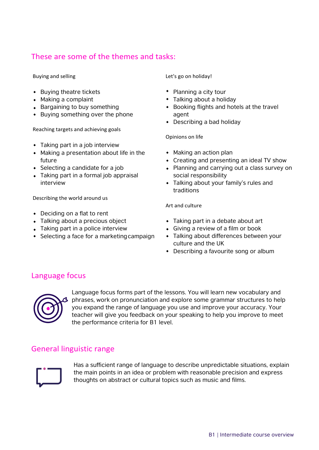#### These are some of the themes and tasks:

- Buying theatre tickets
- Making a complaint
- Bargaining to buy something
- Buying something over the phone

Reaching targets and achieving goals

- Taking part in a job interview
- Making a presentation about life in the future
- Selecting a candidate for a job
- Taking part in a formal job appraisal interview

Describing the world around us

- Deciding on a flat to rent
- Talking about a precious object
- Taking part in a police interview
- Selecting a face for a marketing campaign

Buying and selling and selling and selling and selling and selling and selling and  $Let's go on holiday!$ 

- Planning a city tour
- Talking about a holiday
- Booking flights and hotels at the travel agent
- Describing a bad holiday

Opinions on life

- Making an action plan
- Creating and presenting an ideal TV show
- Planning and carrying out a class survey on social responsibility
- Talking about your family's rules and traditions

#### Art and culture

- Taking part in a debate about art
- Giving a review of a film or book
- Talking about differences between your culture and the UK
- Describing a favourite song or album

#### Language focus



Language focus forms part of the lessons. You will learn new vocabulary and phrases, work on pronunciation and explore some grammar structures to help you expand the range of language you use and improve your accuracy. Your teacher will give you feedback on your speaking to help you improve to meet the performance criteria for B1 level.

#### General linguistic range



Has a sufficient range of language to describe unpredictable situations, explain the main points in an idea or problem with reasonable precision and express thoughts on abstract or cultural topics such as music and films.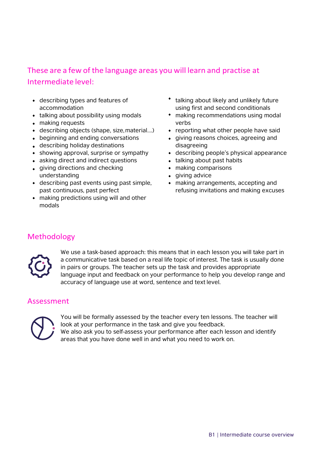### These are a few of the language areas you will learn and practise at

#### Intermediate level:

- describing types and features of accommodation
- talking about possibility using modals
- making requests
- describing objects (shape, size,material….)
- beginning and ending conversations
- describing holiday destinations
- showing approval, surprise or sympathy
- asking direct and indirect questions
- giving directions and checking understanding
- describing past events using past simple, past continuous, past perfect
- making predictions using will and other modals
- talking about likely and unlikely future using first and second conditionals
- making recommendations using modal verbs
- reporting what other people have said
- giving reasons choices, agreeing and disagreeing
- describing people's physical appearance
- talking about past habits
- making comparisons
- $\bullet$  giving advice
- making arrangements, accepting and refusing invitations and making excuses

#### Methodology



We use a task-based approach: this means that in each lesson you will take part in a communicative task based on a real life topic of interest. The task is usually done in pairs or groups. The teacher sets up the task and provides appropriate language input and feedback on your performance to help you develop range and accuracy of language use at word, sentence and text level.

#### Assessment



You will be formally assessed by the teacher every ten lessons. The teacher will look at your performance in the task and give you feedback.

We also ask you to self-assess your performance after each lesson and identify areas that you have done well in and what you need to work on.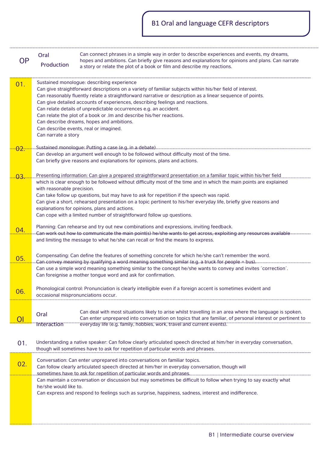| <b>OP</b>      | Oral<br>Production                                                                                                                                                                                                                                                                                                                                                                                                                                                                                                                                                                                               | Can connect phrases in a simple way in order to describe experiences and events, my dreams,<br>hopes and ambitions. Can briefly give reasons and explanations for opinions and plans. Can narrate<br>a story or relate the plot of a book or film and describe my reactions.                                                                                                                                                                                                                                                                                                         |  |
|----------------|------------------------------------------------------------------------------------------------------------------------------------------------------------------------------------------------------------------------------------------------------------------------------------------------------------------------------------------------------------------------------------------------------------------------------------------------------------------------------------------------------------------------------------------------------------------------------------------------------------------|--------------------------------------------------------------------------------------------------------------------------------------------------------------------------------------------------------------------------------------------------------------------------------------------------------------------------------------------------------------------------------------------------------------------------------------------------------------------------------------------------------------------------------------------------------------------------------------|--|
| 01.            | Sustained monologue: describing experience<br>Can give straightforward descriptions on a variety of familiar subjects within his/her field of interest.<br>Can reasonably fluently relate a straightforward narrative or description as a linear sequence of points.<br>Can give detailed accounts of experiences, describing feelings and reactions.<br>Can relate details of unpredictable occurrences e.g. an accident.<br>Can relate the plot of a book or .lm and describe his/her reactions.<br>Can describe dreams, hopes and ambitions.<br>Can describe events, real or imagined.<br>Can narrate a story |                                                                                                                                                                                                                                                                                                                                                                                                                                                                                                                                                                                      |  |
| <del>02.</del> |                                                                                                                                                                                                                                                                                                                                                                                                                                                                                                                                                                                                                  | Can develop an argument well enough to be followed without difficulty most of the time.                                                                                                                                                                                                                                                                                                                                                                                                                                                                                              |  |
|                |                                                                                                                                                                                                                                                                                                                                                                                                                                                                                                                                                                                                                  | Can briefly give reasons and explanations for opinions, plans and actions.                                                                                                                                                                                                                                                                                                                                                                                                                                                                                                           |  |
| $0.3 -$        | with reasonable precision.                                                                                                                                                                                                                                                                                                                                                                                                                                                                                                                                                                                       | Presenting information: Can give a prepared straightforward presentation on a familiar topic within his/her field<br>which is clear enough to be followed without difficulty most of the time and in which the main points are explained<br>Can take follow up questions, but may have to ask for repetition if the speech was rapid.<br>Can give a short, rehearsed presentation on a topic pertinent to his/her everyday life, briefly give reasons and<br>explanations for opinions, plans and actions.<br>Can cope with a limited number of straightforward follow up questions. |  |
| 04.            |                                                                                                                                                                                                                                                                                                                                                                                                                                                                                                                                                                                                                  | Planning: Can rehearse and try out new combinations and expressions, inviting feedback.                                                                                                                                                                                                                                                                                                                                                                                                                                                                                              |  |
|                |                                                                                                                                                                                                                                                                                                                                                                                                                                                                                                                                                                                                                  | Can work out how to communicate the main point(s) he/she wants to get across, exploiting any resources available<br>and limiting the message to what he/she can recall or find the means to express.                                                                                                                                                                                                                                                                                                                                                                                 |  |
| 05.            |                                                                                                                                                                                                                                                                                                                                                                                                                                                                                                                                                                                                                  | Compensating: Can define the features of something concrete for which he/she can't remember the word.                                                                                                                                                                                                                                                                                                                                                                                                                                                                                |  |
|                |                                                                                                                                                                                                                                                                                                                                                                                                                                                                                                                                                                                                                  | Can convey meaning by qualifying a word meaning something similar (e.g. a truck for people = bus)<br>Can use a simple word meaning something similar to the concept he/she wants to convey and invites 'correction'.<br>Can foreignise a mother tongue word and ask for confirmation.                                                                                                                                                                                                                                                                                                |  |
| 06.            |                                                                                                                                                                                                                                                                                                                                                                                                                                                                                                                                                                                                                  | Phonological control: Pronunciation is clearly intelligible even if a foreign accent is sometimes evident and<br>occasional mispronunciations occur.                                                                                                                                                                                                                                                                                                                                                                                                                                 |  |
|                | Oral<br><b>Interaction</b>                                                                                                                                                                                                                                                                                                                                                                                                                                                                                                                                                                                       | Can deal with most situations likely to arise whilst travelling in an area where the language is spoken.<br>Can enter unprepared into conversation on topics that are familiar, of personal interest or pertinent to<br>everyday life (e.g. family, hobbies, work, travel and current events).                                                                                                                                                                                                                                                                                       |  |
| 01.            |                                                                                                                                                                                                                                                                                                                                                                                                                                                                                                                                                                                                                  | Understanding a native speaker: Can follow clearly articulated speech directed at him/her in everyday conversation,<br>though will sometimes have to ask for repetition of particular words and phrases.                                                                                                                                                                                                                                                                                                                                                                             |  |
| 02.            |                                                                                                                                                                                                                                                                                                                                                                                                                                                                                                                                                                                                                  | Conversation: Can enter unprepared into conversations on familiar topics.<br>Can follow clearly articulated speech directed at him/her in everyday conversation, though will                                                                                                                                                                                                                                                                                                                                                                                                         |  |
|                | he/she would like to.                                                                                                                                                                                                                                                                                                                                                                                                                                                                                                                                                                                            | Can maintain a conversation or discussion but may sometimes be difficult to follow when trying to say exactly what<br>Can express and respond to feelings such as surprise, happiness, sadness, interest and indifference.                                                                                                                                                                                                                                                                                                                                                           |  |
|                |                                                                                                                                                                                                                                                                                                                                                                                                                                                                                                                                                                                                                  |                                                                                                                                                                                                                                                                                                                                                                                                                                                                                                                                                                                      |  |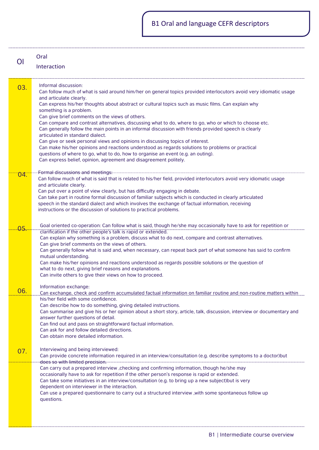| OI                    | Oral<br>Interaction                                                                                                                                                                                                                                                                           |  |  |
|-----------------------|-----------------------------------------------------------------------------------------------------------------------------------------------------------------------------------------------------------------------------------------------------------------------------------------------|--|--|
| 03.                   | Informal discussion:<br>Can follow much of what is said around him/her on general topics provided interlocutors avoid very idiomatic usage<br>and articulate clearly.                                                                                                                         |  |  |
|                       | Can express his/her thoughts about abstract or cultural topics such as music films. Can explain why<br>something is a problem.<br>Can give brief comments on the views of others.                                                                                                             |  |  |
|                       | Can compare and contrast alternatives, discussing what to do, where to go, who or which to choose etc.<br>Can generally follow the main points in an informal discussion with friends provided speech is clearly<br>articulated in standard dialect.                                          |  |  |
|                       | Can give or seek personal views and opinions in discussing topics of interest.<br>Can make his/her opinions and reactions understood as regards solutions to problems or practical                                                                                                            |  |  |
|                       | questions of where to go, what to do, how to organise an event (e.g. an outing).<br>Can express belief, opinion, agreement and disagreement politely.                                                                                                                                         |  |  |
| 04.                   |                                                                                                                                                                                                                                                                                               |  |  |
|                       | Can follow much of what is said that is related to his/her field, provided interlocutors avoid very idiomatic usage<br>and articulate clearly.                                                                                                                                                |  |  |
|                       | Can put over a point of view clearly, but has difficulty engaging in debate.<br>Can take part in routine formal discussion of familiar subjects which is conducted in clearly articulated<br>speech in the standard dialect and which involves the exchange of factual information, receiving |  |  |
|                       | instructions or the discussion of solutions to practical problems.                                                                                                                                                                                                                            |  |  |
| $\Omega$ <sub>5</sub> | Goal oriented co-operation: Can follow what is said, though he/she may occasionally have to ask for repetition or<br>clarification if the other people's talk is rapid or extended.                                                                                                           |  |  |
|                       | Can explain why something is a problem, discuss what to do next, compare and contrast alternatives.<br>Can give brief comments on the views of others.                                                                                                                                        |  |  |
|                       | Can generally follow what is said and, when necessary, can repeat back part of what someone has said to confirm<br>mutual understanding.                                                                                                                                                      |  |  |
|                       | Can make his/her opinions and reactions understood as regards possible solutions or the question of<br>what to do next, giving brief reasons and explanations.                                                                                                                                |  |  |
|                       | Can invite others to give their views on how to proceed.                                                                                                                                                                                                                                      |  |  |
| 06.                   | Information exchange:<br>Can exchange, check and confirm accumulated factual information on familiar routine and non-routine matters within<br>his/her field with some confidence.                                                                                                            |  |  |
|                       | Can describe how to do something, giving detailed instructions.<br>Can summarise and give his or her opinion about a short story, article, talk, discussion, interview or documentary and                                                                                                     |  |  |
|                       | answer further questions of detail.<br>Can find out and pass on straightforward factual information.                                                                                                                                                                                          |  |  |
|                       | Can ask for and follow detailed directions.<br>Can obtain more detailed information.                                                                                                                                                                                                          |  |  |
| 07.                   | Interviewing and being interviewed:<br>Can provide concrete information required in an interview/consultation (e.g. describe symptoms to a doctor)but                                                                                                                                         |  |  |
|                       | Can carry out a prepared interview , checking and confirming information, though he/she may                                                                                                                                                                                                   |  |  |
|                       | occasionally have to ask for repetition if the other person's response is rapid or extended.<br>Can take some initiatives in an interview/consultation (e.g. to bring up a new subject)but is very                                                                                            |  |  |
|                       | dependent on interviewer in the interaction.<br>Can use a prepared questionnaire to carry out a structured interview , with some spontaneous follow up                                                                                                                                        |  |  |
|                       | questions.                                                                                                                                                                                                                                                                                    |  |  |
|                       |                                                                                                                                                                                                                                                                                               |  |  |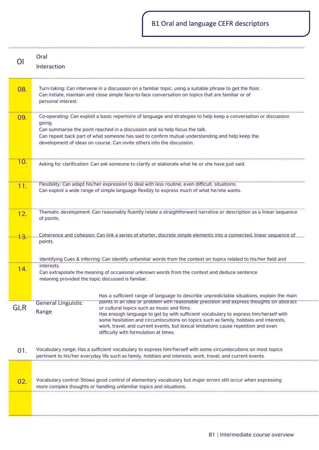| $\left( \ \right)$ | Oral<br>Interaction                                                                                                                                                                                                                                                                                                                                                                                                                                                                          |  |  |
|--------------------|----------------------------------------------------------------------------------------------------------------------------------------------------------------------------------------------------------------------------------------------------------------------------------------------------------------------------------------------------------------------------------------------------------------------------------------------------------------------------------------------|--|--|
| 08.                | Turn-taking: Can intervene in a discussion on a familiar topic, using a suitable phrase to get the floor.<br>Can initiate, maintain and close simple face-to-face conversation on topics that are familiar or of<br>personal interest.                                                                                                                                                                                                                                                       |  |  |
| 09.                | Co-operating: Can exploit a basic repertoire of language and strategies to help keep a conversation or discussion<br>going.<br>Can summarise the point reached in a discussion and so help focus the talk.<br>Can repeat back part of what someone has said to confirm mutual understanding and help keep the<br>development of ideas on course. Can invite others into the discussion.                                                                                                      |  |  |
| 10.                | Asking for clarification: Can ask someone to clarify or elaborate what he or she have just said.                                                                                                                                                                                                                                                                                                                                                                                             |  |  |
| 11.                | Flexibility: Can adapt his/her expression to deal with less routine, even difficult, situations.<br>Can exploit a wide range of simple language flexibly to express much of what he/she wants.                                                                                                                                                                                                                                                                                               |  |  |
| 12.                | Thematic development: Can reasonably fluently relate a straightforward narrative or description as a linear sequence<br>of points.                                                                                                                                                                                                                                                                                                                                                           |  |  |
| 13.                | Coherence and cohesion: Can link a series of shorter, discrete simple elements into a connected, linear sequence of<br>points.<br>Identifying Cues & inferring: Can identify unfamiliar words from the context on topics related to his/her field and                                                                                                                                                                                                                                        |  |  |
| 14.                | interests.<br>Can extrapolate the meaning of occasional unknown words from the context and deduce sentence<br>meaning provided the topic discussed is familiar.                                                                                                                                                                                                                                                                                                                              |  |  |
|                    | Has a sufficient range of language to describe unpredictable situations, explain the main                                                                                                                                                                                                                                                                                                                                                                                                    |  |  |
| <b>GLR</b>         | points in an idea or problem with reasonable precision and express thoughts on abstract<br><b>General Linguistic</b><br>or cultural topics such as music and films.<br>Range<br>Has enough language to get by with sufficient vocabulary to express him/herself with<br>some hesitation and circumlocutions on topics such as family, hobbies and interests,<br>work, travel, and current events, but lexical limitations cause repetition and even<br>difficulty with formulation at times. |  |  |
| 01.                | Vocabulary range: Has a sufficient vocabulary to express him/herself with some circumlocutions on most topics<br>pertinent to his/her everyday life such as family, hobbies and interests, work, travel, and current events.                                                                                                                                                                                                                                                                 |  |  |
|                    |                                                                                                                                                                                                                                                                                                                                                                                                                                                                                              |  |  |
| 02.                | Vocabulary control: Shows good control of elementary vocabulary but major errors still occur when expressing<br>more complex thoughts or handling unfamiliar topics and situations.                                                                                                                                                                                                                                                                                                          |  |  |
|                    |                                                                                                                                                                                                                                                                                                                                                                                                                                                                                              |  |  |